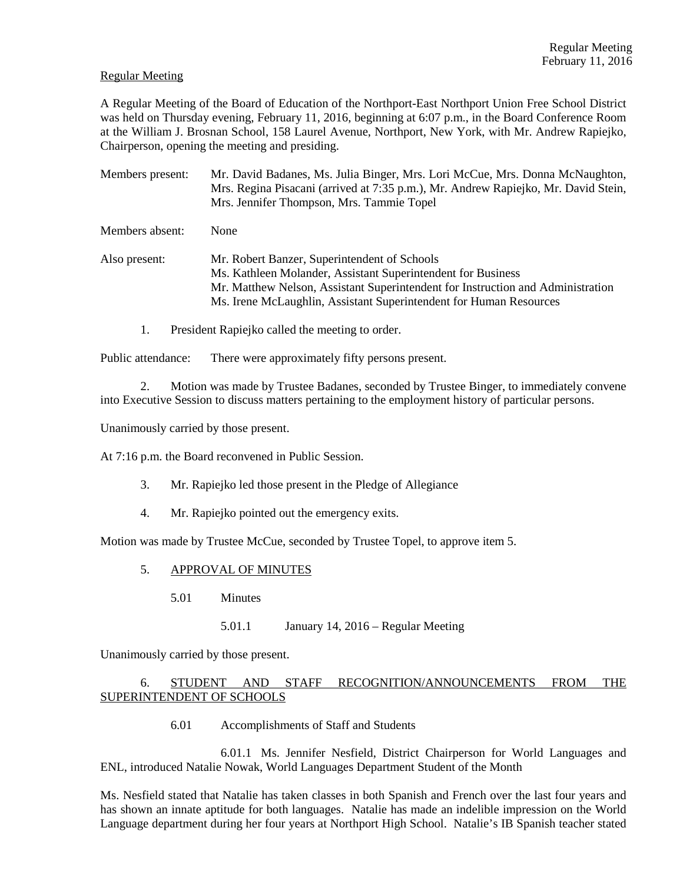### Regular Meeting

A Regular Meeting of the Board of Education of the Northport-East Northport Union Free School District was held on Thursday evening, February 11, 2016, beginning at 6:07 p.m., in the Board Conference Room at the William J. Brosnan School, 158 Laurel Avenue, Northport, New York, with Mr. Andrew Rapiejko, Chairperson, opening the meeting and presiding.

Members present: Mr. David Badanes, Ms. Julia Binger, Mrs. Lori McCue, Mrs. Donna McNaughton, Mrs. Regina Pisacani (arrived at 7:35 p.m.), Mr. Andrew Rapiejko, Mr. David Stein, Mrs. Jennifer Thompson, Mrs. Tammie Topel Members absent: None Also present: Mr. Robert Banzer, Superintendent of Schools Ms. Kathleen Molander, Assistant Superintendent for Business Mr. Matthew Nelson, Assistant Superintendent for Instruction and Administration Ms. Irene McLaughlin, Assistant Superintendent for Human Resources

1. President Rapiejko called the meeting to order.

Public attendance: There were approximately fifty persons present.

2. Motion was made by Trustee Badanes, seconded by Trustee Binger, to immediately convene into Executive Session to discuss matters pertaining to the employment history of particular persons.

Unanimously carried by those present.

At 7:16 p.m. the Board reconvened in Public Session.

- 3. Mr. Rapiejko led those present in the Pledge of Allegiance
- 4. Mr. Rapiejko pointed out the emergency exits.

Motion was made by Trustee McCue, seconded by Trustee Topel, to approve item 5.

- 5. APPROVAL OF MINUTES
	- 5.01 Minutes
		- 5.01.1 January 14, 2016 Regular Meeting

Unanimously carried by those present.

# 6. STUDENT AND STAFF RECOGNITION/ANNOUNCEMENTS FROM THE SUPERINTENDENT OF SCHOOLS

6.01 Accomplishments of Staff and Students

 6.01.1 Ms. Jennifer Nesfield, District Chairperson for World Languages and ENL, introduced Natalie Nowak, World Languages Department Student of the Month

Ms. Nesfield stated that Natalie has taken classes in both Spanish and French over the last four years and has shown an innate aptitude for both languages. Natalie has made an indelible impression on the World Language department during her four years at Northport High School. Natalie's IB Spanish teacher stated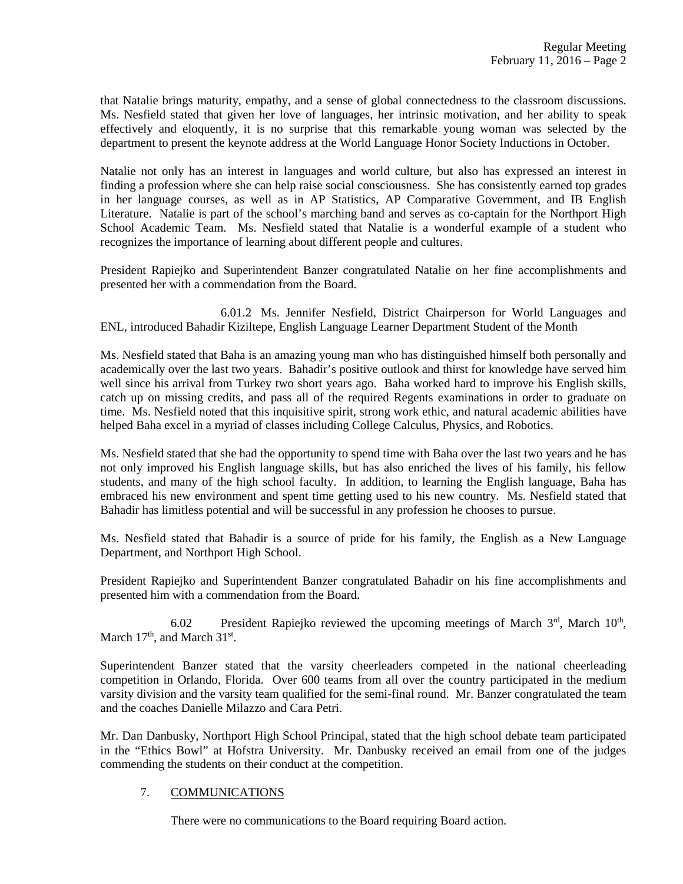that Natalie brings maturity, empathy, and a sense of global connectedness to the classroom discussions. Ms. Nesfield stated that given her love of languages, her intrinsic motivation, and her ability to speak effectively and eloquently, it is no surprise that this remarkable young woman was selected by the department to present the keynote address at the World Language Honor Society Inductions in October.

Natalie not only has an interest in languages and world culture, but also has expressed an interest in finding a profession where she can help raise social consciousness. She has consistently earned top grades in her language courses, as well as in AP Statistics, AP Comparative Government, and IB English Literature. Natalie is part of the school's marching band and serves as co-captain for the Northport High School Academic Team. Ms. Nesfield stated that Natalie is a wonderful example of a student who recognizes the importance of learning about different people and cultures.

President Rapiejko and Superintendent Banzer congratulated Natalie on her fine accomplishments and presented her with a commendation from the Board.

 6.01.2 Ms. Jennifer Nesfield, District Chairperson for World Languages and ENL, introduced Bahadir Kiziltepe, English Language Learner Department Student of the Month

Ms. Nesfield stated that Baha is an amazing young man who has distinguished himself both personally and academically over the last two years. Bahadir's positive outlook and thirst for knowledge have served him well since his arrival from Turkey two short years ago. Baha worked hard to improve his English skills, catch up on missing credits, and pass all of the required Regents examinations in order to graduate on time. Ms. Nesfield noted that this inquisitive spirit, strong work ethic, and natural academic abilities have helped Baha excel in a myriad of classes including College Calculus, Physics, and Robotics.

Ms. Nesfield stated that she had the opportunity to spend time with Baha over the last two years and he has not only improved his English language skills, but has also enriched the lives of his family, his fellow students, and many of the high school faculty. In addition, to learning the English language, Baha has embraced his new environment and spent time getting used to his new country. Ms. Nesfield stated that Bahadir has limitless potential and will be successful in any profession he chooses to pursue.

Ms. Nesfield stated that Bahadir is a source of pride for his family, the English as a New Language Department, and Northport High School.

President Rapiejko and Superintendent Banzer congratulated Bahadir on his fine accomplishments and presented him with a commendation from the Board.

6.02 President Rapiejko reviewed the upcoming meetings of March  $3<sup>rd</sup>$ , March  $10<sup>th</sup>$ , March 17<sup>th</sup>, and March 31<sup>st</sup>.

Superintendent Banzer stated that the varsity cheerleaders competed in the national cheerleading competition in Orlando, Florida. Over 600 teams from all over the country participated in the medium varsity division and the varsity team qualified for the semi-final round. Mr. Banzer congratulated the team and the coaches Danielle Milazzo and Cara Petri.

Mr. Dan Danbusky, Northport High School Principal, stated that the high school debate team participated in the "Ethics Bowl" at Hofstra University. Mr. Danbusky received an email from one of the judges commending the students on their conduct at the competition.

# 7. COMMUNICATIONS

There were no communications to the Board requiring Board action.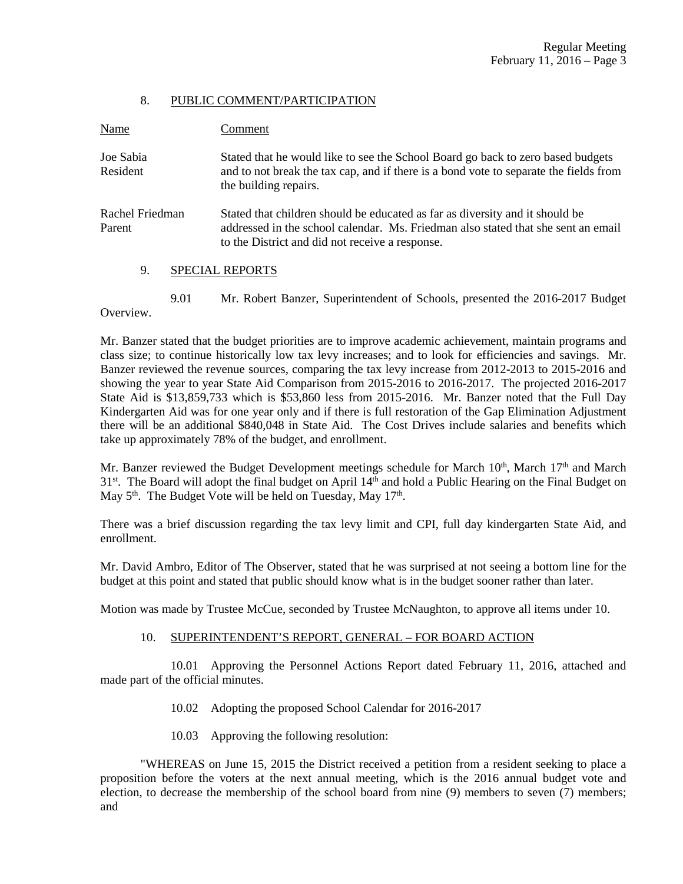#### 8. PUBLIC COMMENT/PARTICIPATION

| Name                      | Comment                                                                                                                                                                                                              |
|---------------------------|----------------------------------------------------------------------------------------------------------------------------------------------------------------------------------------------------------------------|
| Joe Sabia<br>Resident     | Stated that he would like to see the School Board go back to zero based budgets<br>and to not break the tax cap, and if there is a bond vote to separate the fields from<br>the building repairs.                    |
| Rachel Friedman<br>Parent | Stated that children should be educated as far as diversity and it should be<br>addressed in the school calendar. Ms. Friedman also stated that she sent an email<br>to the District and did not receive a response. |
| 9.                        | <b>SPECIAL REPORTS</b>                                                                                                                                                                                               |

 9.01 Mr. Robert Banzer, Superintendent of Schools, presented the 2016-2017 Budget Overview.

Mr. Banzer stated that the budget priorities are to improve academic achievement, maintain programs and class size; to continue historically low tax levy increases; and to look for efficiencies and savings. Mr. Banzer reviewed the revenue sources, comparing the tax levy increase from 2012-2013 to 2015-2016 and showing the year to year State Aid Comparison from 2015-2016 to 2016-2017. The projected 2016-2017 State Aid is \$13,859,733 which is \$53,860 less from 2015-2016. Mr. Banzer noted that the Full Day Kindergarten Aid was for one year only and if there is full restoration of the Gap Elimination Adjustment there will be an additional \$840,048 in State Aid. The Cost Drives include salaries and benefits which take up approximately 78% of the budget, and enrollment.

Mr. Banzer reviewed the Budget Development meetings schedule for March  $10<sup>th</sup>$ , March  $17<sup>th</sup>$  and March 31<sup>st</sup>. The Board will adopt the final budget on April 14<sup>th</sup> and hold a Public Hearing on the Final Budget on May  $5<sup>th</sup>$ . The Budget Vote will be held on Tuesday, May  $17<sup>th</sup>$ .

There was a brief discussion regarding the tax levy limit and CPI, full day kindergarten State Aid, and enrollment.

Mr. David Ambro, Editor of The Observer, stated that he was surprised at not seeing a bottom line for the budget at this point and stated that public should know what is in the budget sooner rather than later.

Motion was made by Trustee McCue, seconded by Trustee McNaughton, to approve all items under 10.

## 10. SUPERINTENDENT'S REPORT, GENERAL – FOR BOARD ACTION

 10.01 Approving the Personnel Actions Report dated February 11, 2016, attached and made part of the official minutes.

- 10.02 Adopting the proposed School Calendar for 2016-2017
- 10.03 Approving the following resolution:

 "WHEREAS on June 15, 2015 the District received a petition from a resident seeking to place a proposition before the voters at the next annual meeting, which is the 2016 annual budget vote and election, to decrease the membership of the school board from nine (9) members to seven (7) members; and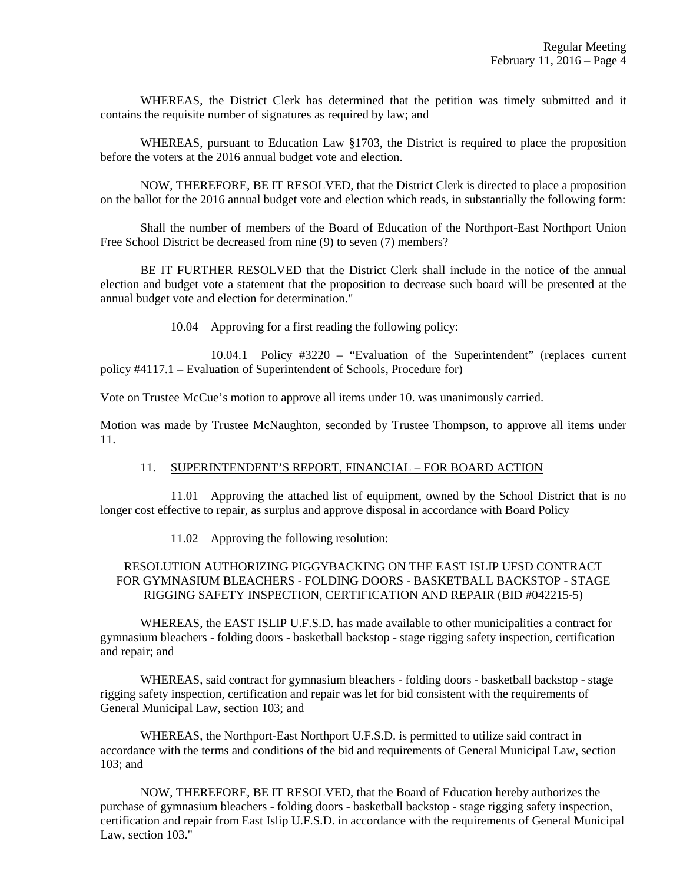WHEREAS, the District Clerk has determined that the petition was timely submitted and it contains the requisite number of signatures as required by law; and

 WHEREAS, pursuant to Education Law §1703, the District is required to place the proposition before the voters at the 2016 annual budget vote and election.

 NOW, THEREFORE, BE IT RESOLVED, that the District Clerk is directed to place a proposition on the ballot for the 2016 annual budget vote and election which reads, in substantially the following form:

 Shall the number of members of the Board of Education of the Northport-East Northport Union Free School District be decreased from nine (9) to seven (7) members?

 BE IT FURTHER RESOLVED that the District Clerk shall include in the notice of the annual election and budget vote a statement that the proposition to decrease such board will be presented at the annual budget vote and election for determination."

10.04 Approving for a first reading the following policy:

 10.04.1 Policy #3220 – "Evaluation of the Superintendent" (replaces current policy #4117.1 – Evaluation of Superintendent of Schools, Procedure for)

Vote on Trustee McCue's motion to approve all items under 10. was unanimously carried.

Motion was made by Trustee McNaughton, seconded by Trustee Thompson, to approve all items under 11.

#### 11. SUPERINTENDENT'S REPORT, FINANCIAL – FOR BOARD ACTION

 11.01 Approving the attached list of equipment, owned by the School District that is no longer cost effective to repair, as surplus and approve disposal in accordance with Board Policy

11.02 Approving the following resolution:

## RESOLUTION AUTHORIZING PIGGYBACKING ON THE EAST ISLIP UFSD CONTRACT FOR GYMNASIUM BLEACHERS - FOLDING DOORS - BASKETBALL BACKSTOP - STAGE RIGGING SAFETY INSPECTION, CERTIFICATION AND REPAIR (BID #042215-5)

WHEREAS, the EAST ISLIP U.F.S.D. has made available to other municipalities a contract for gymnasium bleachers - folding doors - basketball backstop - stage rigging safety inspection, certification and repair; and

WHEREAS, said contract for gymnasium bleachers - folding doors - basketball backstop - stage rigging safety inspection, certification and repair was let for bid consistent with the requirements of General Municipal Law, section 103; and

WHEREAS, the Northport-East Northport U.F.S.D. is permitted to utilize said contract in accordance with the terms and conditions of the bid and requirements of General Municipal Law, section 103; and

NOW, THEREFORE, BE IT RESOLVED, that the Board of Education hereby authorizes the purchase of gymnasium bleachers - folding doors - basketball backstop - stage rigging safety inspection, certification and repair from East Islip U.F.S.D. in accordance with the requirements of General Municipal Law, section 103."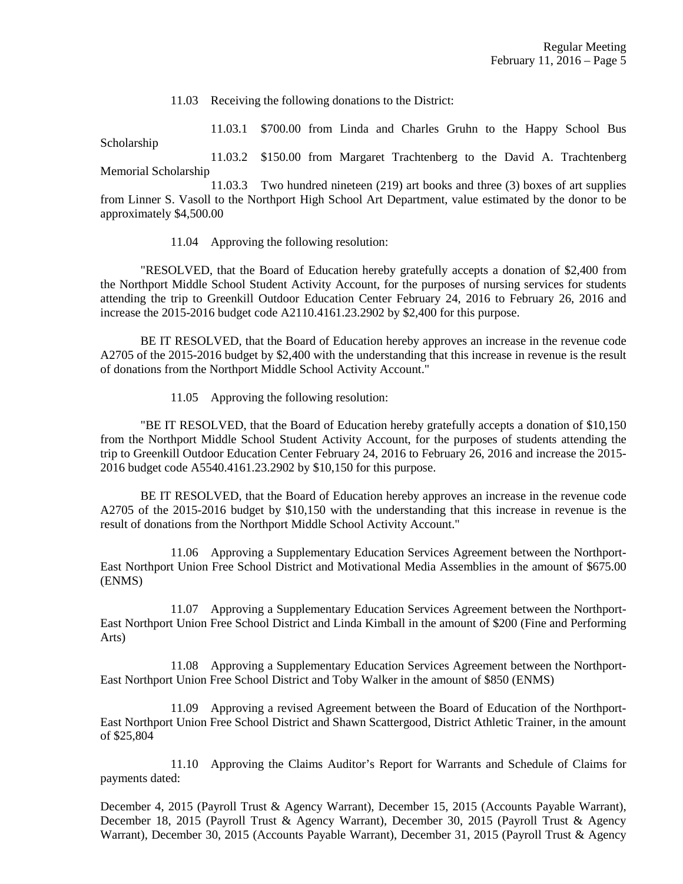11.03 Receiving the following donations to the District:

 11.03.1 \$700.00 from Linda and Charles Gruhn to the Happy School Bus Scholarship

 11.03.2 \$150.00 from Margaret Trachtenberg to the David A. Trachtenberg Memorial Scholarship

 11.03.3 Two hundred nineteen (219) art books and three (3) boxes of art supplies from Linner S. Vasoll to the Northport High School Art Department, value estimated by the donor to be approximately \$4,500.00

11.04 Approving the following resolution:

 "RESOLVED, that the Board of Education hereby gratefully accepts a donation of \$2,400 from the Northport Middle School Student Activity Account, for the purposes of nursing services for students attending the trip to Greenkill Outdoor Education Center February 24, 2016 to February 26, 2016 and increase the 2015-2016 budget code A2110.4161.23.2902 by \$2,400 for this purpose.

 BE IT RESOLVED, that the Board of Education hereby approves an increase in the revenue code A2705 of the 2015-2016 budget by \$2,400 with the understanding that this increase in revenue is the result of donations from the Northport Middle School Activity Account."

11.05 Approving the following resolution:

 "BE IT RESOLVED, that the Board of Education hereby gratefully accepts a donation of \$10,150 from the Northport Middle School Student Activity Account, for the purposes of students attending the trip to Greenkill Outdoor Education Center February 24, 2016 to February 26, 2016 and increase the 2015- 2016 budget code A5540.4161.23.2902 by \$10,150 for this purpose.

 BE IT RESOLVED, that the Board of Education hereby approves an increase in the revenue code A2705 of the 2015-2016 budget by \$10,150 with the understanding that this increase in revenue is the result of donations from the Northport Middle School Activity Account."

 11.06 Approving a Supplementary Education Services Agreement between the Northport-East Northport Union Free School District and Motivational Media Assemblies in the amount of \$675.00 (ENMS)

 11.07 Approving a Supplementary Education Services Agreement between the Northport-East Northport Union Free School District and Linda Kimball in the amount of \$200 (Fine and Performing Arts)

 11.08 Approving a Supplementary Education Services Agreement between the Northport-East Northport Union Free School District and Toby Walker in the amount of \$850 (ENMS)

 11.09 Approving a revised Agreement between the Board of Education of the Northport-East Northport Union Free School District and Shawn Scattergood, District Athletic Trainer, in the amount of \$25,804

 11.10 Approving the Claims Auditor's Report for Warrants and Schedule of Claims for payments dated:

December 4, 2015 (Payroll Trust & Agency Warrant), December 15, 2015 (Accounts Payable Warrant), December 18, 2015 (Payroll Trust & Agency Warrant), December 30, 2015 (Payroll Trust & Agency Warrant), December 30, 2015 (Accounts Payable Warrant), December 31, 2015 (Payroll Trust & Agency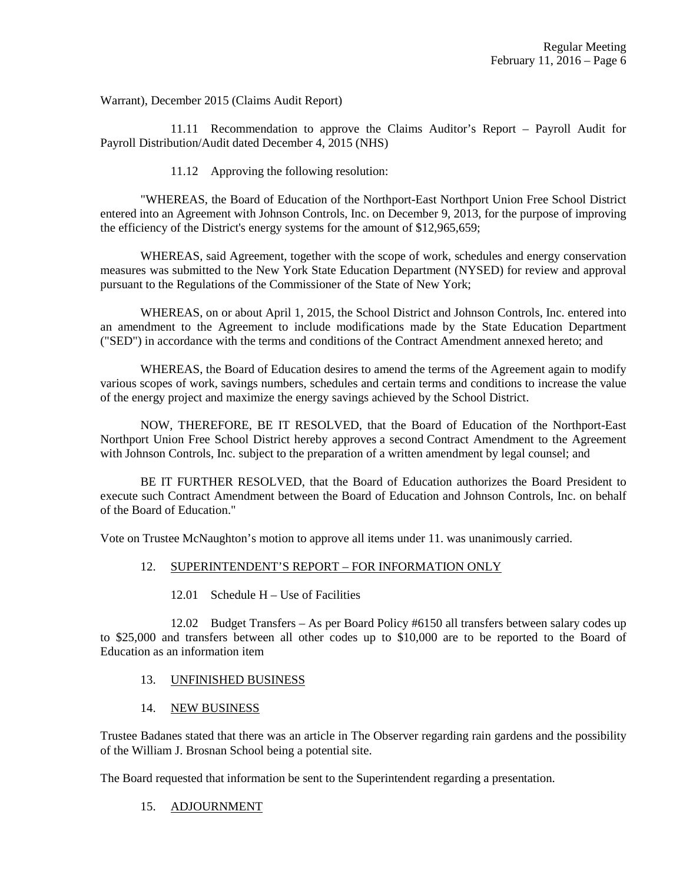Warrant), December 2015 (Claims Audit Report)

 11.11 Recommendation to approve the Claims Auditor's Report – Payroll Audit for Payroll Distribution/Audit dated December 4, 2015 (NHS)

11.12 Approving the following resolution:

 "WHEREAS, the Board of Education of the Northport-East Northport Union Free School District entered into an Agreement with Johnson Controls, Inc. on December 9, 2013, for the purpose of improving the efficiency of the District's energy systems for the amount of \$12,965,659;

 WHEREAS, said Agreement, together with the scope of work, schedules and energy conservation measures was submitted to the New York State Education Department (NYSED) for review and approval pursuant to the Regulations of the Commissioner of the State of New York;

 WHEREAS, on or about April 1, 2015, the School District and Johnson Controls, Inc. entered into an amendment to the Agreement to include modifications made by the State Education Department ("SED") in accordance with the terms and conditions of the Contract Amendment annexed hereto; and

 WHEREAS, the Board of Education desires to amend the terms of the Agreement again to modify various scopes of work, savings numbers, schedules and certain terms and conditions to increase the value of the energy project and maximize the energy savings achieved by the School District.

 NOW, THEREFORE, BE IT RESOLVED, that the Board of Education of the Northport-East Northport Union Free School District hereby approves a second Contract Amendment to the Agreement with Johnson Controls, Inc. subject to the preparation of a written amendment by legal counsel; and

 BE IT FURTHER RESOLVED, that the Board of Education authorizes the Board President to execute such Contract Amendment between the Board of Education and Johnson Controls, Inc. on behalf of the Board of Education."

Vote on Trustee McNaughton's motion to approve all items under 11. was unanimously carried.

## 12. SUPERINTENDENT'S REPORT – FOR INFORMATION ONLY

12.01 Schedule H – Use of Facilities

 12.02 Budget Transfers – As per Board Policy #6150 all transfers between salary codes up to \$25,000 and transfers between all other codes up to \$10,000 are to be reported to the Board of Education as an information item

#### 13. UNFINISHED BUSINESS

14. NEW BUSINESS

Trustee Badanes stated that there was an article in The Observer regarding rain gardens and the possibility of the William J. Brosnan School being a potential site.

The Board requested that information be sent to the Superintendent regarding a presentation.

#### 15. ADJOURNMENT